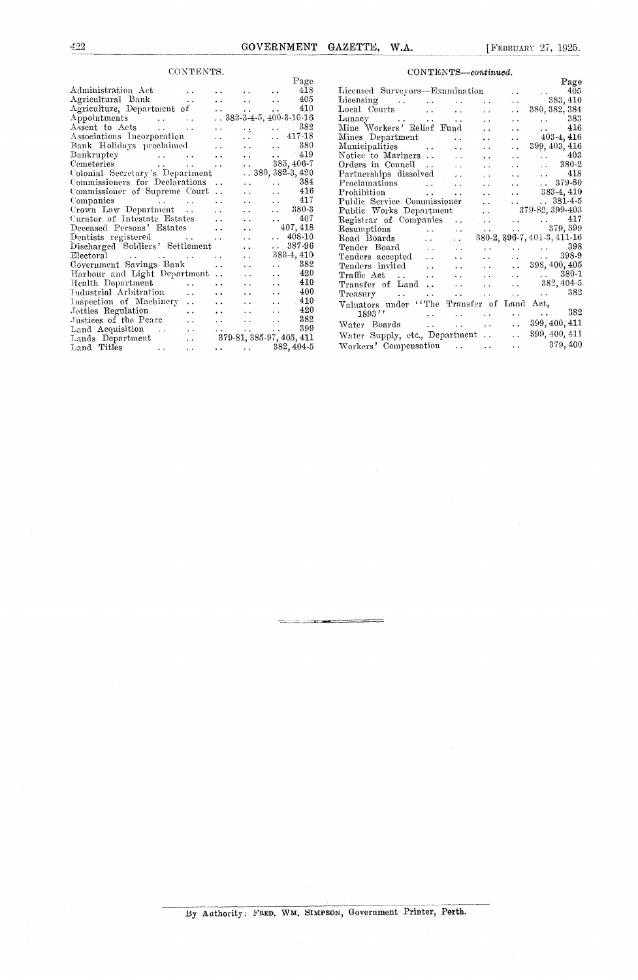3*2* GOVERNMENT **GAZETTE,** W.A. [FEBRUARY 27, 1925.

|                                                                                                                               |                                            |                                            |                      | Page                     |                                                   |                                                           |                                     |                              |                                   |                                                           | Page           |
|-------------------------------------------------------------------------------------------------------------------------------|--------------------------------------------|--------------------------------------------|----------------------|--------------------------|---------------------------------------------------|-----------------------------------------------------------|-------------------------------------|------------------------------|-----------------------------------|-----------------------------------------------------------|----------------|
| Administration Act<br><b>Contract Contract</b>                                                                                | $\ddotsc$                                  | $\ddot{\phantom{0}}$                       |                      | 418                      | Licensed Surveyors—Examination                    |                                                           |                                     |                              | $\sim$ $\sim$                     | $\mathbf{A}$                                              | 405            |
| Agricultural Bank<br><b>Contract Contract</b>                                                                                 | $\mathbf{r}$ . The same state $\mathbf{r}$ |                                            | $\ddot{\phantom{a}}$ | 405                      | Licensing                                         | $\sim 10^{-10}$ m $^{-1}$                                 | $\sim$                              |                              | ίú,                               |                                                           | 383, 410       |
| Agriculture, Department of                                                                                                    | the company of the state of the state      |                                            |                      | 410                      | Local Courts                                      |                                                           | $\sim$ $\sim$                       | $\ddot{\phantom{0}}$         | $\sim 10^{-1}$                    | 380, 382, 384                                             |                |
| Appointments                                                                                                                  | $.882-3-4-5,400-3-10-16$                   |                                            |                      |                          | Lunacy<br>and the company of the company of       |                                                           |                                     | $\sim$                       | $\sim 10$                         | $\mathbf{z}$ , $\mathbf{z}$ , $\mathbf{z}$ , $\mathbf{z}$ | 383            |
| Assent to Acts                                                                                                                | $\sim$ $\sim$                              | $\mathcal{A}(\mathbf{r})$                  | $\ddot{\phantom{a}}$ | 382                      | Mine Workers' Relief Fund                         |                                                           |                                     | $\ddot{\phantom{a}}$         | $\ddot{\phantom{a}}$              |                                                           | 416            |
| Associations Incorporation                                                                                                    | $\sim$ $\sim$                              | $\sim 10^{-1}$                             | $\mathbf{r}$         | 417-18                   | Mines Department                                  |                                                           | $\Delta \sim 10^{-1}$               |                              | $\mathbf{r}$                      |                                                           | $403 - 4, 416$ |
| Bank Holidays proclaimed                                                                                                      | and the state of the state of              |                                            | $\ddot{\phantom{0}}$ | 380                      | Municipalities                                    |                                                           | $\sim$ $\sim$                       |                              | $\ddot{\phantom{0}}$              | 399, 403, 416                                             |                |
| Bankruptcy                                                                                                                    | $\sim 10^{-10}$ km s $^{-1}$               | $\ddotsc$                                  |                      | 419                      | Notice to Mariners                                |                                                           | $\sim$                              | $\ddotsc$                    | $\ddot{\phantom{a}}$              | $\sim$                                                    | 403            |
| and the state of the state of the state of the state of the state of the state of the state of the state of the<br>Cemeteries |                                            | $\mathbf{r}$ , $\mathbf{r}$ , $\mathbf{r}$ |                      | 385, 406-7               | Orders in Council                                 |                                                           | $\mathbf{r}$ , $\mathbf{r}$         | $\ddotsc$                    | $\mathbf{r}$                      | $\sim 10^{-1}$                                            | 380-2          |
| Colonial Secretary's Department                                                                                               |                                            |                                            |                      | $\ldots$ 380, 382-3, 420 | Partnerships dissolved                            |                                                           |                                     |                              |                                   | $\mathbf{r}$ , $\mathbf{r}$ , $\mathbf{r}$                | 418            |
| Commissioners for Declarations                                                                                                |                                            | $\ddot{\phantom{0}}$                       |                      | 384                      | Proclamations                                     |                                                           |                                     | $\sim$                       |                                   | $\mathbf{r}$                                              | 379-80         |
| Commissioner of Supreme Court                                                                                                 |                                            | $\ddot{\phantom{0}}$                       | $\ddot{\phantom{0}}$ | 416                      | Prohibition                                       |                                                           | and the state of                    | $\ddotsc$                    |                                   |                                                           | 383-4, 410     |
| Companies<br>and the state of the state of the state of the                                                                   | $\sim$                                     | $\sim 10^{-1}$                             | $\mathbf{A}$         | 417                      | Public Service Commissioner                       |                                                           |                                     |                              | and the state of the state of the |                                                           | $.881 - 4.5$   |
| Crown Law Department                                                                                                          | $\ddot{\phantom{a}}$                       | $\ddotsc$                                  | $\ddot{\phantom{a}}$ | 380-3                    | Public Works Department                           |                                                           |                                     | $\mathcal{L}(\mathcal{L})$ . |                                   | 379-82, 399-403                                           |                |
| Curator of Intestate Estates                                                                                                  | $\sim$ 10 $\pm$                            | $\sim$ $\sim$                              | $\ddot{\phantom{0}}$ | 407                      | Registrar of Companies                            |                                                           |                                     | <b>Contractor</b>            |                                   | $\ldots$ $417$                                            |                |
| Deceased Persons' Estates                                                                                                     | $\ddotsc$                                  | $\ddot{\phantom{a}}$                       |                      | 407, 418                 | Resumptions                                       |                                                           | $\sim$ $\sim$                       | <b>Contract Contract</b>     | $\ddot{\phantom{0}}$              |                                                           | 379, 399       |
| Dentists registered<br>and the state of the state                                                                             |                                            | $\ddot{\phantom{a}}$                       |                      | $\ldots$ 408-10          | Road Boards                                       | $\mathbf{r}$ , $\mathbf{r}$ , $\mathbf{r}$ , $\mathbf{r}$ | $\sim 10^{-10}$                     |                              |                                   | 380-2, 396-7, 401-3, 411-16                               |                |
| Discharged Soldiers' Settlement                                                                                               |                                            | $\ddot{\phantom{0}}$                       | $\ddotsc$            | 387-96                   | Tender Board                                      | $\mathbf{1}$ , $\mathbf{1}$                               | $\ddot{\phantom{a}}$                |                              |                                   | $\ldots$ 398                                              |                |
| Electoral                                                                                                                     | $\sim$ $\sim$                              | $\ddot{\phantom{a}}$                       |                      | 383-4, 410               | Tenders accepted                                  | $\mathbf{r}$ , and the state of the state $\mathbf{r}$    | $\sim 10^{-10}$ and $\sim 10^{-10}$ | $\sim 10^{-10}$ .            | $\sim 10^{-1}$                    | $\mathbf{A}$ , $\mathbf{A}$ , $\mathbf{A}$                | 398-9          |
| Government Savings Bank                                                                                                       | $\ddot{\phantom{a}}$                       | $\ddot{\phantom{a}}$                       | $\ddotsc$            | 382                      | Tenders invited                                   | $\mathbf{1}$ , $\mathbf{1}$                               | $\mathbf{1}$ , $\mathbf{1}$         | $\mathcal{L}(\mathcal{L})$ . | $\sim 10^{-11}$                   | 398, 400, 405                                             |                |
| Harbour and Light Department                                                                                                  |                                            | $\ddot{\phantom{0}}$                       | $\ddot{\phantom{a}}$ | 420                      | $\operatorname{Traffie} \operatorname{Act}$       |                                                           | and the state of the                |                              | $\ddot{\phantom{0}}$              | $\sim 10^{-11}$                                           | 380-1          |
| Health Department<br>$\sim 10^{-10}$                                                                                          | $\ddot{\phantom{0}}$                       |                                            | $\ddot{\phantom{a}}$ | 410                      | Transfer of Land                                  |                                                           | <b>Allen Control</b>                | $\sim$                       | $\ddot{\phantom{a}}$              |                                                           | 382, 404-5     |
| Industrial Arbitration<br>$\ddot{\phantom{a}}$                                                                                | $\ddotsc$                                  | $\ddot{\phantom{0}}$                       | $\ddot{\phantom{a}}$ | 400                      | <b>Treasury</b><br>and the second service and the |                                                           | <b>Allen Control</b>                | <b>Service</b> State         | $\sim 10^{-1}$                    | $\sim$                                                    | 382            |
| Inspection of Machinery                                                                                                       | $\ddot{\phantom{a}}$                       | $\sim$ $\sim$                              | $\ddot{\phantom{a}}$ | 410                      | Valuators under "The Transfer of Land Act,        |                                                           |                                     |                              |                                   |                                                           |                |
| Jetties Regulation<br>$\sim$ $\sim$                                                                                           | $\ddot{\phantom{a}}$                       | $\ddot{\phantom{0}}$                       | $\ddot{\phantom{a}}$ | 420                      | 1893"                                             | $\ddotsc$                                                 |                                     |                              |                                   | <b>Service</b> Contractor                                 | 382            |
| Justices of the Peace<br>$\ddot{\phantom{a}}$                                                                                 | $\sim$ $\sim$                              | $\sim$                                     | $\ddot{\phantom{a}}$ | 382                      | Water Boards                                      |                                                           | and the same of                     | $\sim 10^{-11}$              | $\sim 10^{-10}$                   | 399, 400, 411                                             |                |
| Land Acquisition<br>$\ddotsc$                                                                                                 | $\mathbf{A}$ , and $\mathbf{A}$            | $\sim$ $\sim$                              | $\ddot{\phantom{0}}$ | 399                      |                                                   |                                                           |                                     |                              |                                   | 399, 400, 411                                             |                |
| Lands Department<br>$\sim$ $\sim$                                                                                             |                                            |                                            |                      | 379-81, 385-97, 405, 411 | Water Supply, etc., Department                    |                                                           |                                     |                              | $\sim 10^{-1}$                    |                                                           |                |
| Land Titles<br>$\ddot{\phantom{0}}$<br>$\ddotsc$                                                                              | and the state of the                       |                                            |                      | 382, 404-5               | Workers' Compensation                             |                                                           |                                     |                              | $\sim$ $\sim$                     |                                                           | 379, 400       |

| CONTENTS.                        |                                                           |                                          |                             |        | CONTENTS-continued.                                                                                                                |
|----------------------------------|-----------------------------------------------------------|------------------------------------------|-----------------------------|--------|------------------------------------------------------------------------------------------------------------------------------------|
|                                  |                                                           |                                          |                             | Page   | Page                                                                                                                               |
|                                  |                                                           |                                          |                             | 418    | Licensed Surveyors—Examination<br>$\ldots$ 405<br><b>CALL COV</b>                                                                  |
|                                  | and the con-                                              | <b>Alan Adam</b>                         | $\ddot{\phantom{a}}$        | 405    | t.<br>383, 410<br>$\mathbf{r}$ , $\mathbf{r}$ , $\mathbf{r}$                                                                       |
| nt of                            | $\mathbf{L}(\mathbf{L})$ and $\mathbf{L}(\mathbf{L})$     | $\mathbf{z}$ , and $\mathbf{z}$          |                             | 410    | Local Courts<br>380, 382, 384<br>$\mathbf{r}$<br>$\sim 10^{-1}$                                                                    |
|                                  |                                                           | $\ldots$ 382-3-4-5, 400-3-10-16          |                             |        | 383<br>$\ddot{\phantom{a}}$<br>$\mathbf{z}$ , $\mathbf{z}$ , $\mathbf{z}$ , $\mathbf{z}$<br>$\ddot{\phantom{1}}$                   |
| $\sim 100$                       | $\sim$ $\sim$                                             | $\mathbf{v} \in \mathbb{R}^{n \times n}$ | $\ddot{\phantom{a}}$        | 382    | Mine Workers' Relief Fund<br>416<br>$\ddot{\phantom{a}}$<br>$\ddot{\phantom{a}}$<br>$\ddot{\phantom{0}}$                           |
| $\mathrm{tion} \quad \mathrm{ }$ | $\sim$ $\sim$                                             | $\sim 10^{-11}$                          | $\sim$                      | 417-18 | $403-4, 416$<br>Mines Department<br>$\ddotsc$<br>$\ddotsc$<br>$\mathbf{r}$ , $\mathbf{r}$ , $\mathbf{r}$                           |
| $\mathbf{u}$ imed                | $\sim 10$                                                 | <b>Contractor</b> Service                |                             | 380    | Municipalities<br>399, 403, 416<br>$\sim 10^{-11}$<br>$\sim$ $\sim$                                                                |
| <b>Contract Administration</b>   | $\mathbf{r}$ , $\mathbf{r}$ , $\mathbf{r}$ , $\mathbf{r}$ | and the same                             |                             | 419    | 403<br>$\ddot{\phantom{a}}$<br>$\mathbf{1}$ , and $\mathbf{1}$<br>$\ddot{\phantom{a}}$                                             |
| <b>Allen Control</b>             | $\ddot{\phantom{0}}$                                      | <b>Participants</b>                      | 385, 406-7                  |        | $. 380-2$<br>Orders in Council<br>$\mathcal{L}(\mathbf{x})$ and $\mathcal{L}(\mathbf{x})$<br>$\ddot{\phantom{a}}$<br>$\sim$ $\sim$ |
| Department                       |                                                           | $\ldots$ 380, 382-3, 420                 |                             |        | Partnerships dissolved<br>418<br>$\mathbf{r}$ , and $\mathbf{r}$<br>$\sim 10$<br>and the con-                                      |
| clarations                       | $\sim$ .                                                  | $\ddotsc$                                | $\sim$ $\sim$               | 384    | $. 379-80$<br>Proclamations<br>$\sim 10^{-11}$                                                                                     |
| eme Court                        |                                                           | $\ddot{\phantom{a}}$ .                   | $\sim$ $\sim$               | 416    | $.883-4,410$                                                                                                                       |
| <b>Section</b> 1999              | $\sim$ $\sim$                                             | $\sim$ $\sim$                            | $\sim$ $\sim$               | 417    | Public Service Commissioner<br>$. 381 - 4.5$<br>$\mathbf{r}$ , and the state of $\mathbf{r}$                                       |
| nt                               | $\ddot{\phantom{a}}$                                      |                                          | $\mathbf{r}$ , $\mathbf{r}$ | 380-3  | Public Works Department  379-82, 399-403                                                                                           |
| Estates                          | $\sim$ $\sim$                                             | $\sim$ $\sim$                            | $\ddot{\phantom{a}}$        | 407    | $\sim$ 417<br>Registrar of Companies                                                                                               |
| tates                            | $\ddot{\phantom{a}}$                                      | $\ddot{\phantom{0}}$                     | 407,418                     |        | . 379, 399                                                                                                                         |
| and the state of the state       | $\sim$ $\sim$                                             | $\ddot{\phantom{a}}$                     | $. 408-10$                  |        | 380-2, 396-7, 401-3, 411-16<br>Road Boards<br>$\mathbf{L}(\mathbf{L})$ and<br><b>Alberta Control</b>                               |
| Settlement                       |                                                           | $\ddot{\phantom{0}}$                     | $.887-96$                   |        |                                                                                                                                    |
| contract of the con-             | $\sim$ $\sim$                                             | $\ddot{\phantom{a}}$                     | 383-4, 410                  |        | Tenders accepted<br>and the same state of the<br>398-9<br>$\mathbf{z}(\mathbf{z})$ , and $\mathbf{z}(\mathbf{z})$ , and            |
| 3ank                             | $\ddot{\phantom{a}}$                                      | $\ddot{\phantom{a}}$                     | $\ddot{\phantom{a}}$        | 382    | 398, 400, 405<br>Tenders invited<br>$\sim 10^{-11}$                                                                                |
| epartment                        |                                                           | $\cdot$ .                                | $\ddot{\phantom{0}}$        | 420    | $380 - 1$<br>$\mathrm{Traffie} \quad \mathrm{Act} \quad \ldots \quad \ldots \quad \ldots$<br>and the state of                      |
| $\ddot{\phantom{a}}$             |                                                           |                                          |                             | 410    | Transfer of Land $\cdots$ $\cdots$<br>$\ldots$ 382, 404-5                                                                          |
| $\ddotsc$                        | $\ddotsc$                                                 | $\ddot{\phantom{0}}$                     | $\ddot{\phantom{a}}$        | 400    | Treasury 382                                                                                                                       |
| ery<br>$\ddot{\phantom{1}}$      | $\ddot{\phantom{a}}$                                      | $\sim 10$                                | $\ddot{\phantom{a}}$        | .410   | Valuators under "The Transfer of Land Act,                                                                                         |
| $\ddot{\phantom{1}}$             | $\ddot{\phantom{a}}$                                      | $\ddotsc$                                | $\ddot{\phantom{a}}$        | 420    | $\ldots$ $\ldots$ 382<br>$1893$ ''<br><b>Allen Control</b><br>$\ddot{\phantom{0}}$<br>and the con-                                 |
| $\ddot{\phantom{0}}$             | $\ddot{\phantom{0}}$                                      | $\sim$ $\sim$                            | $\ddot{\phantom{0}}$        | 382    | 399, 400, 411<br>$\sim 10^{-11}$                                                                                                   |
| $\ddotsc$                        | Alternative Contracts                                     |                                          | $\ddot{\phantom{0}}$        | 399    | 399, 400, 411<br>$\sim 10^{-11}$                                                                                                   |
| $\pm$ $\pm$                      |                                                           | 379-81, 385-97, 405, 411                 |                             |        | Water Supply, etc., Department                                                                                                     |
| $\ddotsc$                        |                                                           | $\ldots$ $382,404.5$                     |                             |        | $\ldots$ 379,400                                                                                                                   |

By Authority: FRED. WM. SIMPSON, Government Printer, Perth.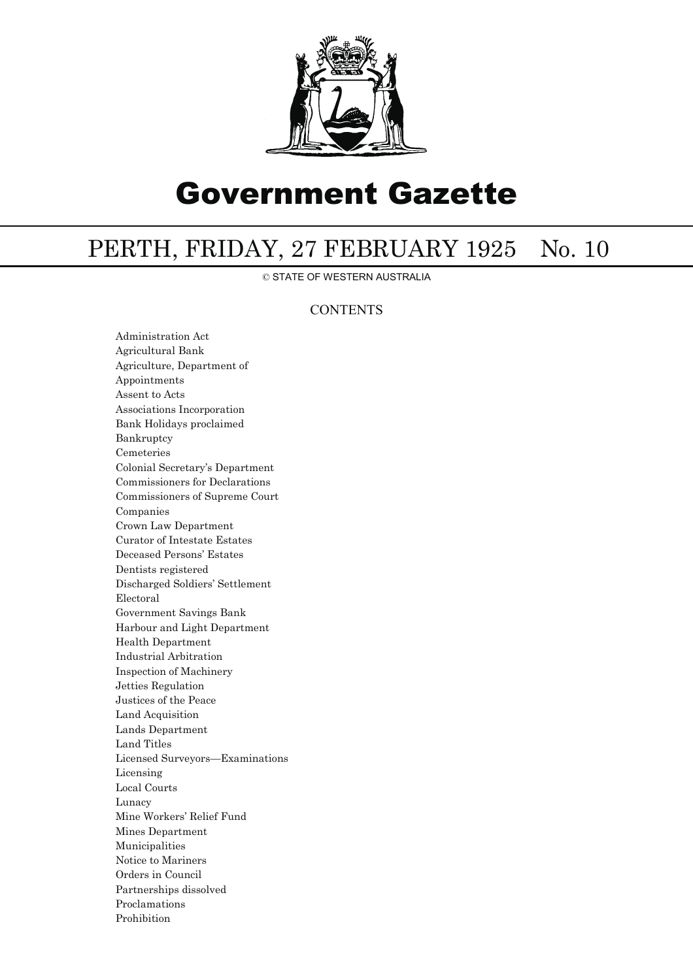

## Government Gazette

## PERTH, FRIDAY, 27 FEBRUARY 1925 No. 10

© STATE OF WESTERN AUSTRALIA

## **CONTENTS**

Administration Act Agricultural Bank Agriculture, Department of Appointments Assent to Acts Associations Incorporation Bank Holidays proclaimed Bankruptcy Cemeteries Colonial Secretary's Department Commissioners for Declarations Commissioners of Supreme Court Companies Crown Law Department Curator of Intestate Estates Deceased Persons' Estates Dentists registered Discharged Soldiers' Settlement Electoral Government Savings Bank Harbour and Light Department Health Department Industrial Arbitration Inspection of Machinery Jetties Regulation Justices of the Peace Land Acquisition Lands Department Land Titles Licensed Surveyors—Examinations Licensing Local Courts Lunacy Mine Workers' Relief Fund Mines Department Municipalities Notice to Mariners Orders in Council Partnerships dissolved Proclamations Prohibition